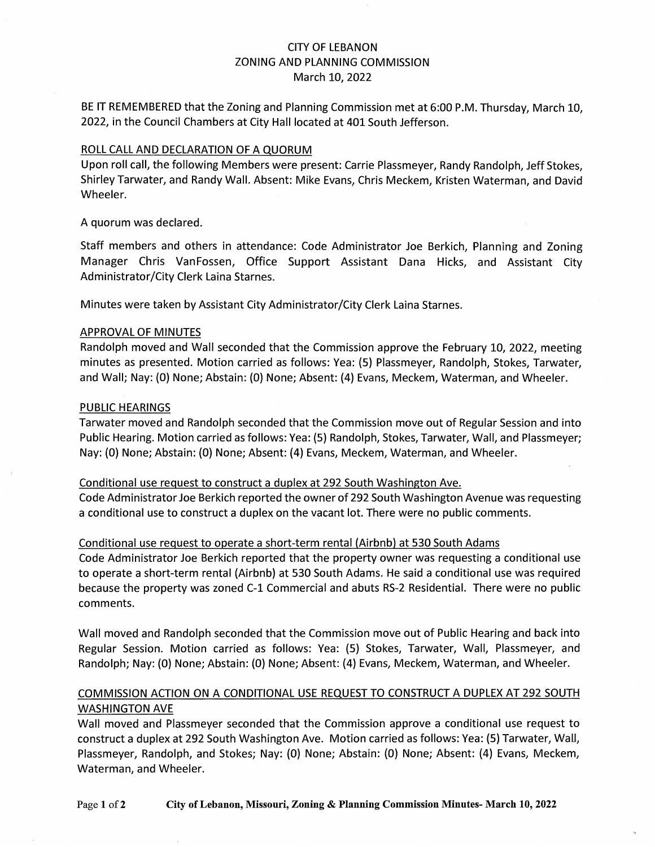## CITY OF LEBANON ZONING AND PLANNING COMMISSION March 10, 2022

BE IT REMEMBERED that the Zoning and Planning Commission met at 6:00 P.M. Thursday, March 10, 2022, in the Council Chambers at City Hall located at 401 South Jefferson.

#### ROLL CALL AND DECLARATION OF A QUORUM

Upon roll call, the following Members were present: Carrie Plassmeyer, Randy Randolph, Jeff Stokes, Shirley Tarwater, and Randy Wall. Absent: Mike Evans, Chris Meckem, Kristen Waterman, and David Wheeler.

A quorum was declared.

Staff members and others in attendance: Code Administrator Joe Berkich, Planning and Zoning Manager Chris VanFossen, Office Support Assistant Dana Hicks, and Assistant City Administrator/City Clerk Laina Starnes.

Minutes were taken by Assistant City Administrator/City Clerk Laina Starnes.

#### APPROVAL OF MINUTES

Randolph moved and Wall seconded that the Commission approve the February 10, 2022, meeting minutes as presented. Motion carried as follows: Yea: (5) Plassmeyer, Randolph, Stokes, Tarwater, and Wall; Nay: (0) None; Abstain: (0) None; Absent: (4) Evans, Meckem, Waterman, and Wheeler.

### PUBLIC HEARINGS

Tarwater moved and Randolph seconded that the Commission move out of Regular Session and into Public Hearing. Motion carried as follows: Yea: (5) Randolph, Stokes, Tarwater, Wall, and Plassmeyer; Nay: (0) None; Abstain: (0) None; Absent: (4) Evans, Meckem, Waterman, and Wheeler.

#### Conditional use request to construct a duplex at 292 South Washington Ave.

Code Administrator Joe Berkich reported the owner of 292 South Washington Avenue was requesting a conditional use to construct a duplex on the vacant lot. There were no public comments.

#### Conditional use request to operate a short-term rental (Airbnb) at 530 South Adams

Code Administrator Joe Berkich reported that the property owner was requesting a conditional use to operate a short-term rental (Airbnb) at 530 South Adams. He said a conditional use was required because the property was zoned C-1 Commercial and abuts RS-2 Residential. There were no public comments.

Wall moved and Randolph seconded that the Commission move out of Public Hearing and back into Regular Session. Motion carried as follows: Yea: (5) Stokes, Tarwater, Wall, Plassmeyer, and Randolph; Nay: (0) None; Abstain: (0) None; Absent: (4) Evans, Meckem, Waterman, and Wheeler.

## COMMISSION ACTION ON A CONDITIONAL USE REQUEST TO CONSTRUCT A DUPLEX AT 292 SOUTH WASHINGTON AVE

Wall moved and Plassmeyer seconded that the Commission approve a conditional use request to construct a duplex at 292 South Washington Ave. Motion carried as follows: Yea: (5) Tarwater, Wall, Plassmeyer, Randolph, and Stokes; Nay: (0) None; Abstain: (0} None; Absent: (4) Evans, Meckem, Waterman, and Wheeler.